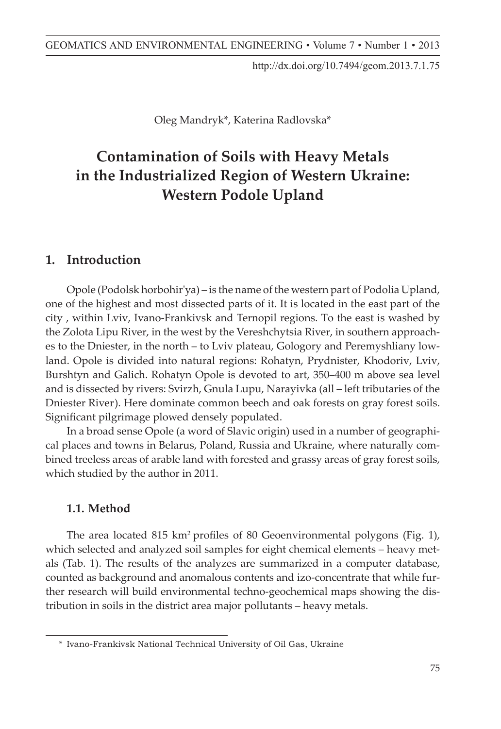http://dx.doi.org/10.7494/geom.2013.7.1.75

Oleg Mandryk\*, Katerina Radlovska\*

# **Contamination of Soils with Heavy Metals in the Industrialized Region of Western Ukraine: Applied in Surveying Western Podole Upland**

## **1. Introduction**

Opole (Podolsk horbohir'ya) – is the name of the western part of Podolia Upland, one of the highest and most dissected parts of it. It is located in the east part of the city, within Lviv, Ivano-Frankivsk and Ternopil regions. To the east is washed by the Zolota Lipu River, in the west by the Vereshchytsia River, in southern approaches to the Dniester, in the north – to Lviv plateau, Gologory and Peremyshliany lowland. Opole is divided into natural regions: Rohatyn, Prydnister, Khodoriv, Lviv, Burshtyn and Galich. Rohatyn Opole is devoted to art, 350-400 m above sea level and is dissected by rivers: Svirzh, Gnula Lupu, Narayivka (all - left tributaries of the Dniester River). Here dominate common beech and oak forests on gray forest soils. Significant pilgrimage plowed densely populated.

In a broad sense Opole (a word of Slavic origin) used in a number of geographical places and towns in Belarus, Poland, Russia and Ukraine, where naturally combined treeless areas of arable land with forested and grassy areas of gray forest soils, which studied by the author in 2011.  $\Gamma$ 

## **1.1. Method namelying of the computations by models.**

The area located 815 km<sup>2</sup> profiles of 80 Geoenvironmental polygons (Fig. 1), which selected and analyzed soil samples for eight chemical elements – heavy metals (Tab. 1). The results of the analyzes are summarized in a computer database, counted as background and anomalous contents and izo-concentrate that while further research will build environmental techno-geochemical maps showing the distribution in soils in the district area major pollutants – heavy metals.

\* The Bronisław Markiewicz State Higher School of Technology and Economics in Jarosław,

<sup>\*</sup> Ivano-Frankivsk National Technical University of Oil Gas, Ukraine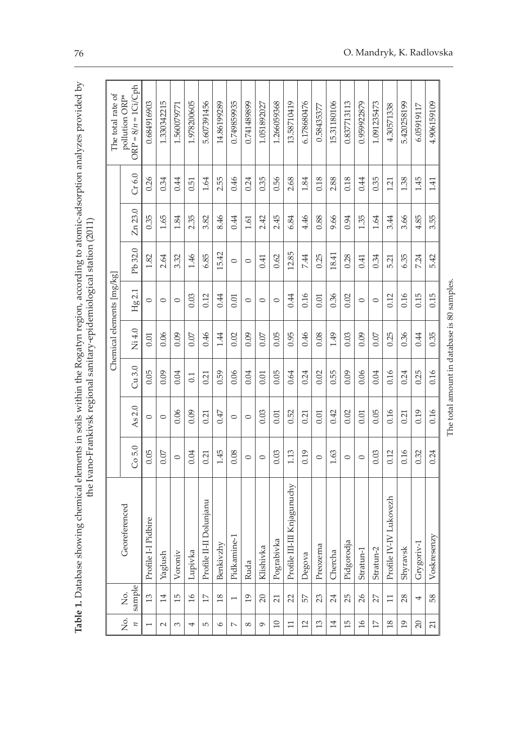| ;<br>こころについてい<br>.<br>7<br>7<br>7<br>7<br>ℷ<br><b>WOON ON OUT</b><br>j<br>ׇ֦ׅ֘֡֡֡֡֬<br>THE CASE OF PARTY THE<br>١<br><br>١<br>I<br>I<br>$\sim$ $\sim$ $\sim$<br>į<br>J<br>.<br>.<br>i<br>I<br>1<br>ving ch<br>$\mathbf{r}$<br>ţ<br>I<br>ł<br>I<br>ï<br>ċ<br>¢<br>۱<br>Ï<br>١<br>ļ<br>į<br>۱<br>Š<br>$\frac{1}{5}$<br>i<br>¢<br>֚֘֝ |
|------------------------------------------------------------------------------------------------------------------------------------------------------------------------------------------------------------------------------------------------------------------------------------------------------------------------------------|
|------------------------------------------------------------------------------------------------------------------------------------------------------------------------------------------------------------------------------------------------------------------------------------------------------------------------------------|

|                          |                         |                                  |         | the Ivano-Frankivsk regional sanitary-epidemiological station (2011 |       |        |                           |         |         |       |                                         |
|--------------------------|-------------------------|----------------------------------|---------|---------------------------------------------------------------------|-------|--------|---------------------------|---------|---------|-------|-----------------------------------------|
|                          |                         |                                  |         |                                                                     |       |        | Chemical elements [mg/kg] |         |         |       | The total rate of                       |
| Σó.<br>$\mu$             | sample<br>Σó,           | Georeferenced                    | Co 5.0  | As 2.0                                                              | Cu3.0 | Ni 4.0 | Hg2.1                     | Pb 32.0 | Zn 23.0 | Cr6.0 | $ORP = 8/n = 1Ci/Cph$<br>pollution ORP* |
| $\overline{\phantom{0}}$ | $\Xi$                   | Pidbire<br>Profile I-I           | 0.05    | $\circ$                                                             | 0.05  | 0.01   | $\circ$                   | 1.82    | 0.35    | 0.26  | 0.684916903                             |
| $\sim$                   | $14\,$                  | Yaglush                          | 0.07    | $\circ$                                                             | 0.09  | 0.06   | $\circ$                   | 2.64    | 1.65    | 0.34  | 1.330342215                             |
| $\sim$                   | $15$                    | Voroniv                          | $\circ$ | 0.06                                                                | 0.04  | 0.09   | $\circ$                   | 3.32    | 1.84    | 0.44  | 1.560079771                             |
| 4                        | $\mathfrak{A}$          | Lupivka                          | 0.04    | 0.09                                                                | 0.1   | 0.07   | 0.03                      | 1.46    | 2.35    | 0.51  | 1.978200605                             |
| $\overline{5}$           | $\overline{\mathbb{L}}$ | Dolunjanu<br>Profile II-II       | 0.21    | 0.21                                                                | 0.21  | 0.46   | 0.12                      | 6.85    | 3.82    | 1.64  | 5.607391456                             |
| $\circ$                  | $18\,$                  | Benkivzhy                        | 1.45    | 0.47                                                                | 0.59  | 1.44   | 0.44                      | 15.42   | 8.46    | 2.55  | 14.86199289                             |
| $\overline{\phantom{a}}$ | $\overline{ }$          | Pidkamine-1                      | 0.08    | $\circ$                                                             | 0.06  | 0.02   | 0.01                      | $\circ$ | 0.44    | 0.46  | 0.749859935                             |
| ${}^{\circ}$             | $\overline{1}9$         | Ruda                             | $\circ$ | $\circ$                                                             | 0.04  | 0.09   | $\circ$                   | $\circ$ | 1.61    | 0.24  | 0.741489899                             |
| $\mathcal{O}$            | $20\,$                  | Klishivka                        | $\circ$ | 0.03                                                                | 0.01  | 0.07   | $\circ$                   | 0.41    | 2.42    | 0.35  | 1.051892027                             |
| 10                       | $\overline{z}$          | Pograbivka                       | 0.03    | 0.01                                                                | 0.05  | 0.05   | $\circ$                   | 0.62    | 2.45    | 0.56  | 1.266059368                             |
| 11                       | $\mathfrak{D}$          | III Knjagunuchy<br>Profile III-I | 1.13    | 0.52                                                                | 0.64  | 0.95   | 0.44                      | 12.85   | 6.84    | 2.68  | 13.58710419                             |
| 12                       | 57                      | Degova                           | 0.19    | 0.21                                                                | 0.24  | 0.46   | 0.16                      | 7.44    | 4.46    | 1.84  | 6.178680476                             |
| 13                       | $23\,$                  | Preozerna                        | $\circ$ | 0.01                                                                | 0.02  | 0.08   | 0.01                      | 0.25    | 0.88    | 0.18  | 0.58435377                              |
| $14$                     | 24                      | Chercha                          | 1.63    | 0.42                                                                | 0.55  | 1.49   | 0.36                      | 18.41   | 9.66    | 2.88  | 15.31180106                             |
| 15                       | 25                      | Pidgorodja                       | $\circ$ | 0.02                                                                | 0.09  | 0.03   | 0.02                      | 0.28    | 0.94    | 0.18  | 0.837713113                             |
| $\mathfrak{g}_1$         | $\sqrt{26}$             | Stratun-1                        | $\circ$ | 0.01                                                                | 0.06  | 0.09   | $\circ$                   | 0.41    | 1.35    | 0.44  | 0.959922879                             |
| $\overline{17}$          | 27                      | Stratun-2                        | 0.03    | 0.05                                                                | 0.04  | 0.07   | $\circ$                   | 0.34    | 1.64    | 0.35  | 1.091235473                             |
| $18\,$                   | $\Box$                  | IV Lukovezh<br>Profile IV-I      | 0.12    | 0.16                                                                | 0.16  | 0.25   | 0.12                      | 5.21    | 3.44    | 1.21  | 4.30571338                              |
| $\overline{19}$          | 28                      | Shyravsk                         | 0.16    | 0.21                                                                | 0.24  | 0.36   | 0.16                      | 6.35    | 3.66    | 1.38  | 5.420258199                             |
| 20                       | 4                       | Grygoriv-1                       | 0.32    | 0.19                                                                | 0.25  | 0.44   | 0.15                      | 7.24    | 4.85    | 1.45  | 6.05919117                              |
| 21                       | 58                      | Voskresenzy                      | 0.24    | 0.16                                                                | 0.16  | 0.35   | 0.15                      | 5.42    | 3.55    | 1.41  | 4.906159109                             |
|                          |                         |                                  |         | The total amount in database is 80 samples.                         |       |        |                           |         |         |       |                                         |

76 ∂ O. Mandryk, K. Radlovska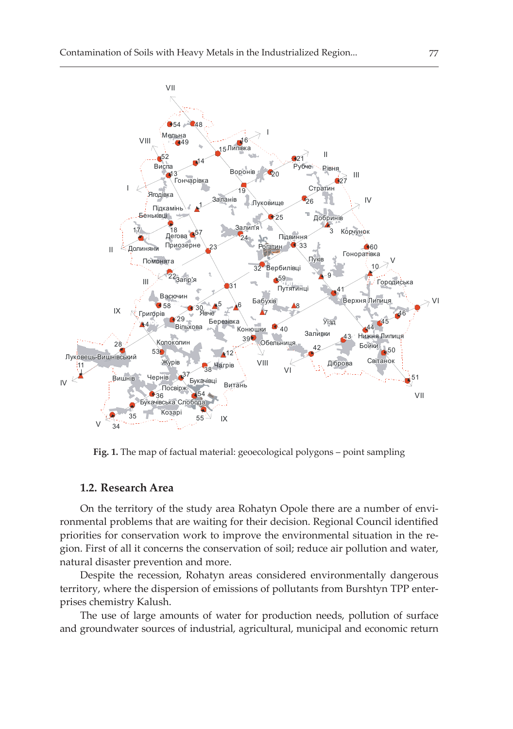

**Fig. 1.** The map of factual material: geoecological polygons – point sampling

#### 1.2. Research Area

On the territory of the study area Rohatyn Opole there are a number of environmental problems that are waiting for their decision. Regional Council identified priorities for conservation work to improve the environmental situation in the region. First of all it concerns the conservation of soil; reduce air pollution and water, natural disaster prevention and more.

Despite the recession, Rohatyn areas considered environmentally dangerous territory, where the dispersion of emissions of pollutants from Burshtyn TPP enterprises chemistry Kalush.

The use of large amounts of water for production needs, pollution of surface and groundwater sources of industrial, agricultural, municipal and economic return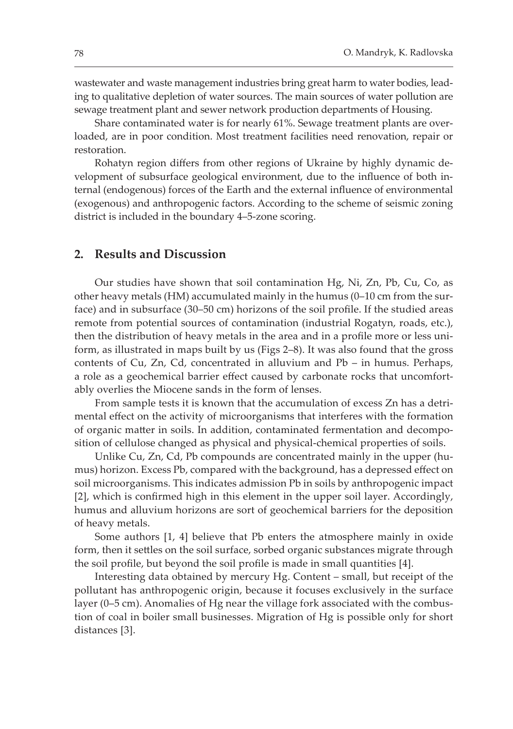wastewater and waste management industries bring great harm to water bodies, leading to qualitative depletion of water sources. The main sources of water pollution are sewage treatment plant and sewer network production departments of Housing.

Share contaminated water is for nearly 61%. Sewage treatment plants are overloaded, are in poor condition. Most treatment facilities need renovation, repair or restoration.

Rohatyn region differs from other regions of Ukraine by highly dynamic development of subsurface geological environment, due to the influence of both internal (endogenous) forces of the Earth and the external influence of environmental (exogenous) and anthropogenic factors. According to the scheme of seismic zoning district is included in the boundary 4-5-zone scoring.

#### 2. Results and Discussion

Our studies have shown that soil contamination Hg, Ni, Zn, Pb, Cu, Co, as other heavy metals (HM) accumulated mainly in the humus (0–10 cm from the surface) and in subsurface (30-50 cm) horizons of the soil profile. If the studied areas remote from potential sources of contamination (industrial Rogatyn, roads, etc.), then the distribution of heavy metals in the area and in a profile more or less uniform, as illustrated in maps built by us (Figs 2-8). It was also found that the gross contents of Cu, Zn, Cd, concentrated in alluvium and Pb – in humus. Perhaps, a role as a geochemical barrier effect caused by carbonate rocks that uncomfortably overlies the Miocene sands in the form of lenses.

From sample tests it is known that the accumulation of excess Zn has a detrimental effect on the activity of microorganisms that interferes with the formation of organic matter in soils. In addition, contaminated fermentation and decomposition of cellulose changed as physical and physical-chemical properties of soils.

Unlike Cu, Zn, Cd, Pb compounds are concentrated mainly in the upper (humus) horizon. Excess Pb, compared with the background, has a depressed effect on soil microorganisms. This indicates admission Pb in soils by anthropogenic impact [2], which is confirmed high in this element in the upper soil layer. Accordingly, humus and alluvium horizons are sort of geochemical barriers for the deposition of heavy metals.

Some authors  $[1, 4]$  believe that Pb enters the atmosphere mainly in oxide form, then it settles on the soil surface, sorbed organic substances migrate through the soil profile, but beyond the soil profile is made in small quantities [4].

Interesting data obtained by mercury Hg. Content – small, but receipt of the pollutant has anthropogenic origin, because it focuses exclusively in the surface layer (0–5 cm). Anomalies of Hg near the village fork associated with the combustion of coal in boiler small businesses. Migration of Hg is possible only for short distances [3].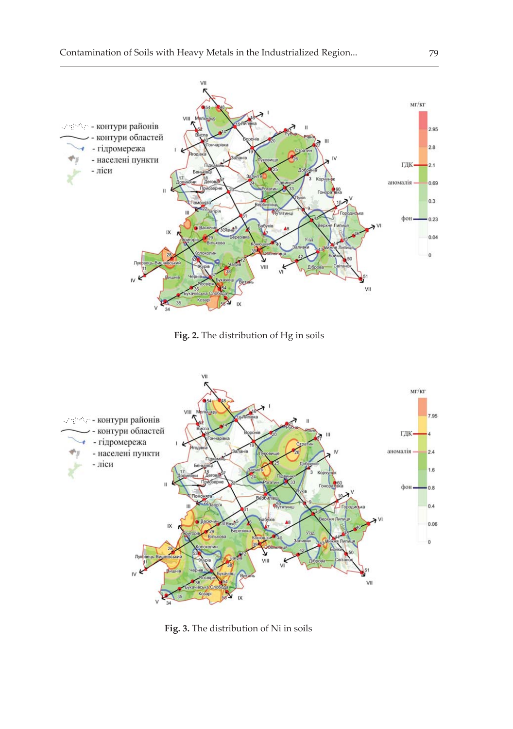

Fig. 2. The distribution of Hg in soils



Fig. 3. The distribution of Ni in soils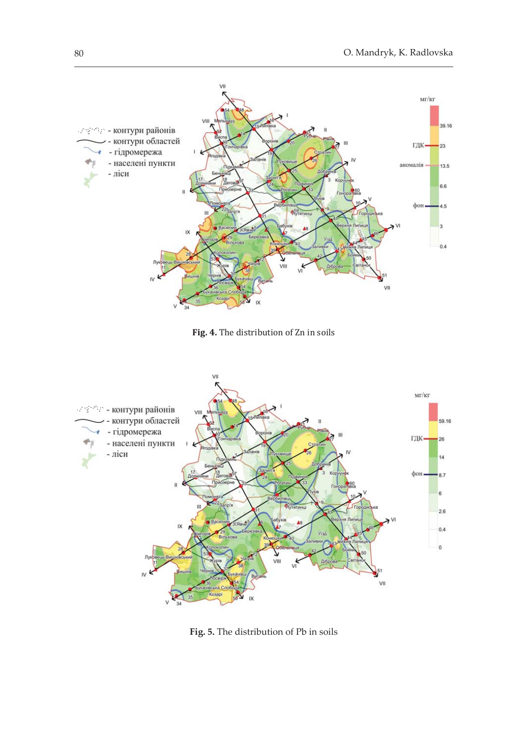

Fig. 4. The distribution of Zn in soils



Fig. 5. The distribution of Pb in soils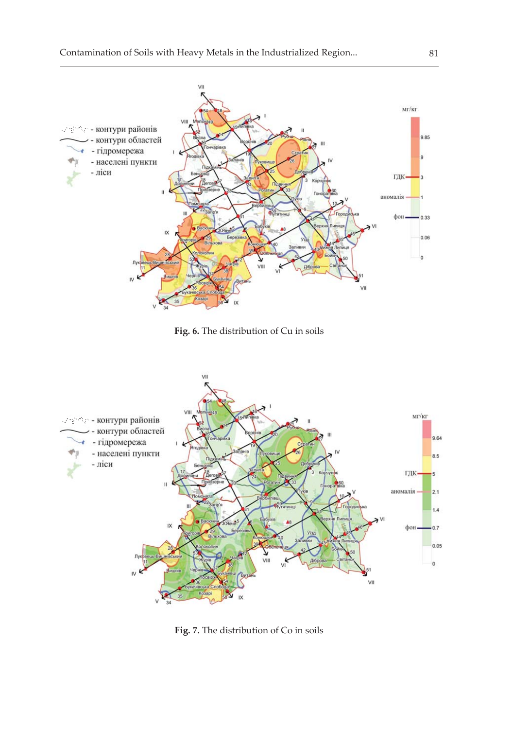

Fig. 6. The distribution of Cu in soils



Fig. 7. The distribution of Co in soils